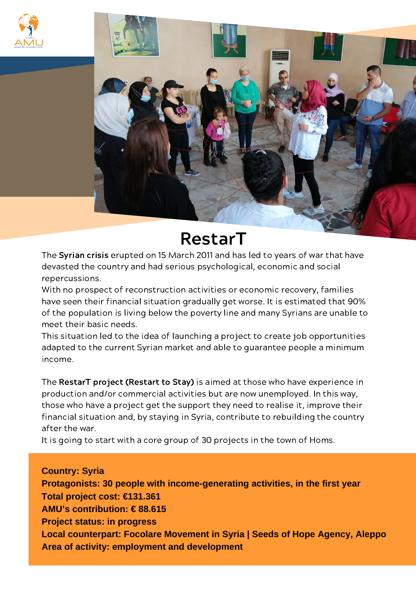



## RestarT

The Syrian crisis erupted on 15 March 2011 and has led to years of war that have devasted the country and had serious psychological, economic and social repercussions.

With no prospect of reconstruction activities or economic recovery, families have seen their financial situation gradually get worse. It is estimated that 90% of the population is living below the poverty line and many Syrians are unable to meet their basic needs.

This situation led to the idea of launching a project to create job opportunities adapted to the current Syrian market and able to guarantee people a minimum income.

The RestarT project (Restart to Stay) is aimed at those who have experience in production and/or commercial activities but are now unemployed. In this way, those who have a project get the support they need to realise it, improve their financial situation and, by staying in Syria, contribute to rebuilding the country after the war.

It is going to start with a core group of 30 projects in the town of Homs.

**Country: Syria Protagonists: 30 people with income-generating activities, in the first year Total project cost: €131.361 AMU's contribution: € 88.615 Project status: in progress Local counterpart: Focolare Movement in Syria | Seeds of Hope Agency, Aleppo Area of activity: employment and development**